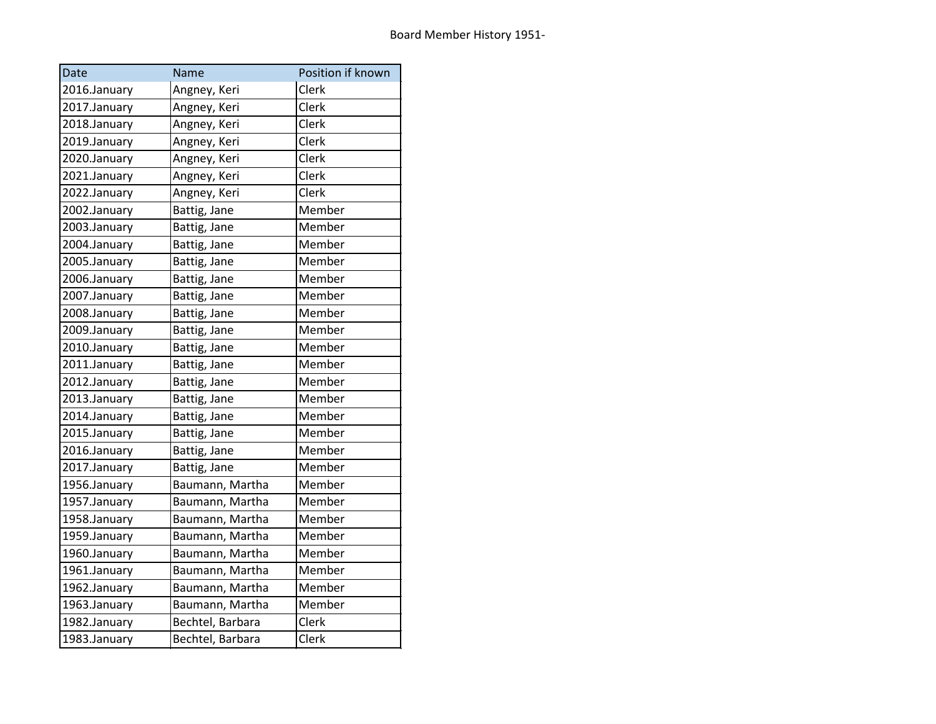| Date         | Name             | Position if known |
|--------------|------------------|-------------------|
| 2016.January | Angney, Keri     | Clerk             |
| 2017.January | Angney, Keri     | Clerk             |
| 2018.January | Angney, Keri     | Clerk             |
| 2019.January | Angney, Keri     | Clerk             |
| 2020.January | Angney, Keri     | Clerk             |
| 2021.January | Angney, Keri     | Clerk             |
| 2022.January | Angney, Keri     | Clerk             |
| 2002.January | Battig, Jane     | Member            |
| 2003.January | Battig, Jane     | Member            |
| 2004.January | Battig, Jane     | Member            |
| 2005.January | Battig, Jane     | Member            |
| 2006.January | Battig, Jane     | Member            |
| 2007.January | Battig, Jane     | Member            |
| 2008.January | Battig, Jane     | Member            |
| 2009.January | Battig, Jane     | Member            |
| 2010.January | Battig, Jane     | Member            |
| 2011.January | Battig, Jane     | Member            |
| 2012.January | Battig, Jane     | Member            |
| 2013.January | Battig, Jane     | Member            |
| 2014.January | Battig, Jane     | Member            |
| 2015.January | Battig, Jane     | Member            |
| 2016.January | Battig, Jane     | Member            |
| 2017.January | Battig, Jane     | Member            |
| 1956.January | Baumann, Martha  | Member            |
| 1957.January | Baumann, Martha  | Member            |
| 1958.January | Baumann, Martha  | Member            |
| 1959.January | Baumann, Martha  | Member            |
| 1960.January | Baumann, Martha  | Member            |
| 1961.January | Baumann, Martha  | Member            |
| 1962.January | Baumann, Martha  | Member            |
| 1963.January | Baumann, Martha  | Member            |
| 1982.January | Bechtel, Barbara | Clerk             |
| 1983.January | Bechtel, Barbara | Clerk             |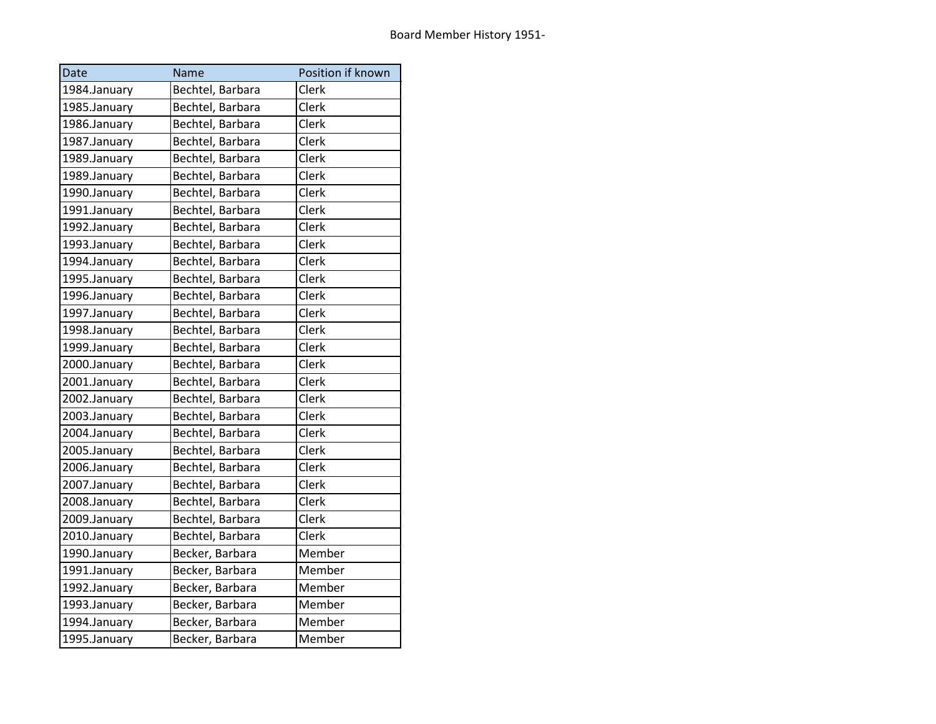| Date         | Name             | Position if known |
|--------------|------------------|-------------------|
| 1984.January | Bechtel, Barbara | Clerk             |
| 1985.January | Bechtel, Barbara | Clerk             |
| 1986.January | Bechtel, Barbara | Clerk             |
| 1987.January | Bechtel, Barbara | Clerk             |
| 1989.January | Bechtel, Barbara | Clerk             |
| 1989.January | Bechtel, Barbara | Clerk             |
| 1990.January | Bechtel, Barbara | Clerk             |
| 1991.January | Bechtel, Barbara | Clerk             |
| 1992.January | Bechtel, Barbara | Clerk             |
| 1993.January | Bechtel, Barbara | Clerk             |
| 1994.January | Bechtel, Barbara | Clerk             |
| 1995.January | Bechtel, Barbara | Clerk             |
| 1996.January | Bechtel, Barbara | Clerk             |
| 1997.January | Bechtel, Barbara | Clerk             |
| 1998.January | Bechtel, Barbara | Clerk             |
| 1999.January | Bechtel, Barbara | Clerk             |
| 2000.January | Bechtel, Barbara | Clerk             |
| 2001.January | Bechtel, Barbara | Clerk             |
| 2002.January | Bechtel, Barbara | Clerk             |
| 2003.January | Bechtel, Barbara | Clerk             |
| 2004.January | Bechtel, Barbara | Clerk             |
| 2005.January | Bechtel, Barbara | Clerk             |
| 2006.January | Bechtel, Barbara | Clerk             |
| 2007.January | Bechtel, Barbara | Clerk             |
| 2008.January | Bechtel, Barbara | Clerk             |
| 2009.January | Bechtel, Barbara | Clerk             |
| 2010.January | Bechtel, Barbara | Clerk             |
| 1990.January | Becker, Barbara  | Member            |
| 1991.January | Becker, Barbara  | Member            |
| 1992.January | Becker, Barbara  | Member            |
| 1993.January | Becker, Barbara  | Member            |
| 1994.January | Becker, Barbara  | Member            |
| 1995.January | Becker, Barbara  | Member            |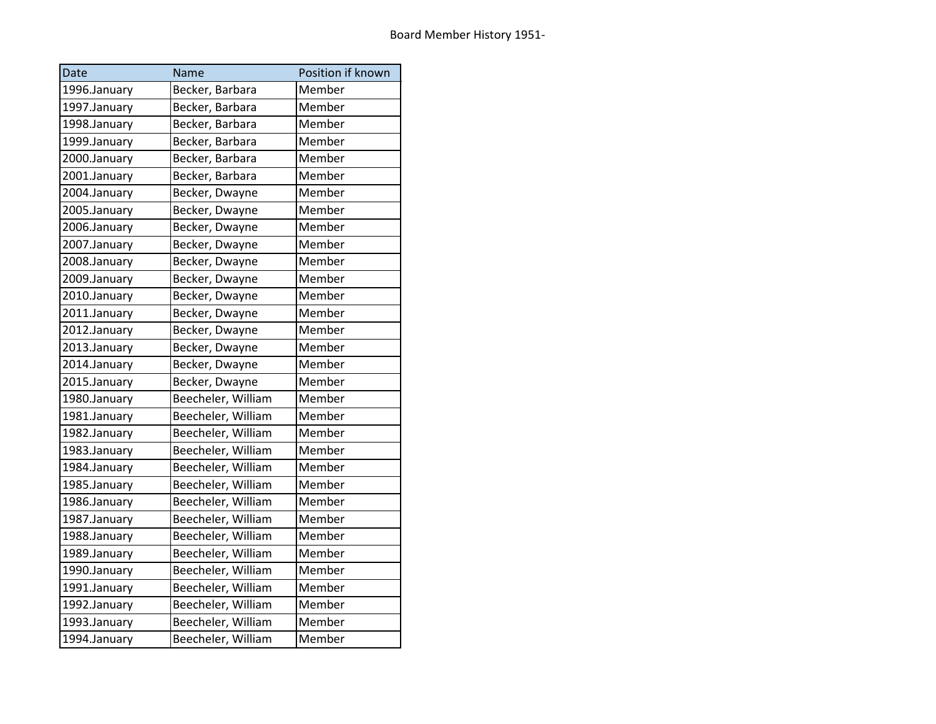| Date         | Name               | Position if known |
|--------------|--------------------|-------------------|
| 1996.January | Becker, Barbara    | Member            |
| 1997.January | Becker, Barbara    | Member            |
| 1998.January | Becker, Barbara    | Member            |
| 1999.January | Becker, Barbara    | Member            |
| 2000.January | Becker, Barbara    | Member            |
| 2001.January | Becker, Barbara    | Member            |
| 2004.January | Becker, Dwayne     | Member            |
| 2005.January | Becker, Dwayne     | Member            |
| 2006.January | Becker, Dwayne     | Member            |
| 2007.January | Becker, Dwayne     | Member            |
| 2008.January | Becker, Dwayne     | Member            |
| 2009.January | Becker, Dwayne     | Member            |
| 2010.January | Becker, Dwayne     | Member            |
| 2011.January | Becker, Dwayne     | Member            |
| 2012.January | Becker, Dwayne     | Member            |
| 2013.January | Becker, Dwayne     | Member            |
| 2014.January | Becker, Dwayne     | Member            |
| 2015.January | Becker, Dwayne     | Member            |
| 1980.January | Beecheler, William | Member            |
| 1981.January | Beecheler, William | Member            |
| 1982.January | Beecheler, William | Member            |
| 1983.January | Beecheler, William | Member            |
| 1984.January | Beecheler, William | Member            |
| 1985.January | Beecheler, William | Member            |
| 1986.January | Beecheler, William | Member            |
| 1987.January | Beecheler, William | Member            |
| 1988.January | Beecheler, William | Member            |
| 1989.January | Beecheler, William | Member            |
| 1990.January | Beecheler, William | Member            |
| 1991.January | Beecheler, William | Member            |
| 1992.January | Beecheler, William | Member            |
| 1993.January | Beecheler, William | Member            |
| 1994.January | Beecheler, William | Member            |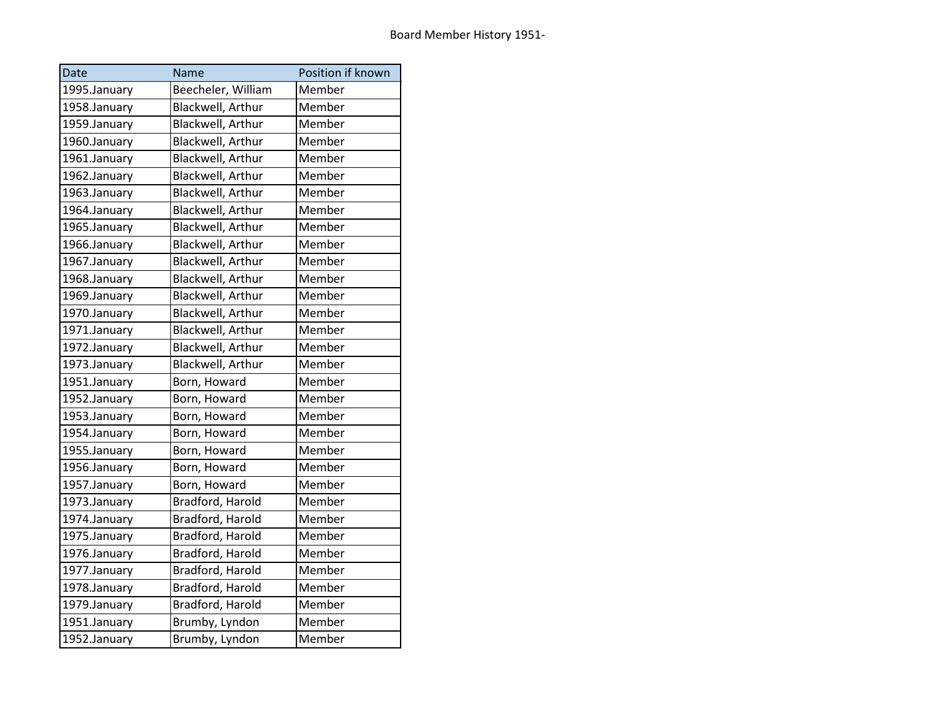| Date         | Name               | Position if known |
|--------------|--------------------|-------------------|
| 1995.January | Beecheler, William | Member            |
| 1958.January | Blackwell, Arthur  | Member            |
| 1959.January | Blackwell, Arthur  | Member            |
| 1960.January | Blackwell, Arthur  | Member            |
| 1961.January | Blackwell, Arthur  | Member            |
| 1962.January | Blackwell, Arthur  | Member            |
| 1963.January | Blackwell, Arthur  | Member            |
| 1964.January | Blackwell, Arthur  | Member            |
| 1965.January | Blackwell, Arthur  | Member            |
| 1966.January | Blackwell, Arthur  | Member            |
| 1967.January | Blackwell, Arthur  | Member            |
| 1968.January | Blackwell, Arthur  | Member            |
| 1969.January | Blackwell, Arthur  | Member            |
| 1970.January | Blackwell, Arthur  | Member            |
| 1971.January | Blackwell, Arthur  | Member            |
| 1972.January | Blackwell, Arthur  | Member            |
| 1973.January | Blackwell, Arthur  | Member            |
| 1951.January | Born, Howard       | Member            |
| 1952.January | Born, Howard       | Member            |
| 1953.January | Born, Howard       | Member            |
| 1954.January | Born, Howard       | Member            |
| 1955.January | Born, Howard       | Member            |
| 1956.January | Born, Howard       | Member            |
| 1957.January | Born, Howard       | Member            |
| 1973.January | Bradford, Harold   | Member            |
| 1974.January | Bradford, Harold   | Member            |
| 1975.January | Bradford, Harold   | Member            |
| 1976.January | Bradford, Harold   | Member            |
| 1977.January | Bradford, Harold   | Member            |
| 1978.January | Bradford, Harold   | Member            |
| 1979.January | Bradford, Harold   | Member            |
| 1951.January | Brumby, Lyndon     | Member            |
| 1952.January | Brumby, Lyndon     | Member            |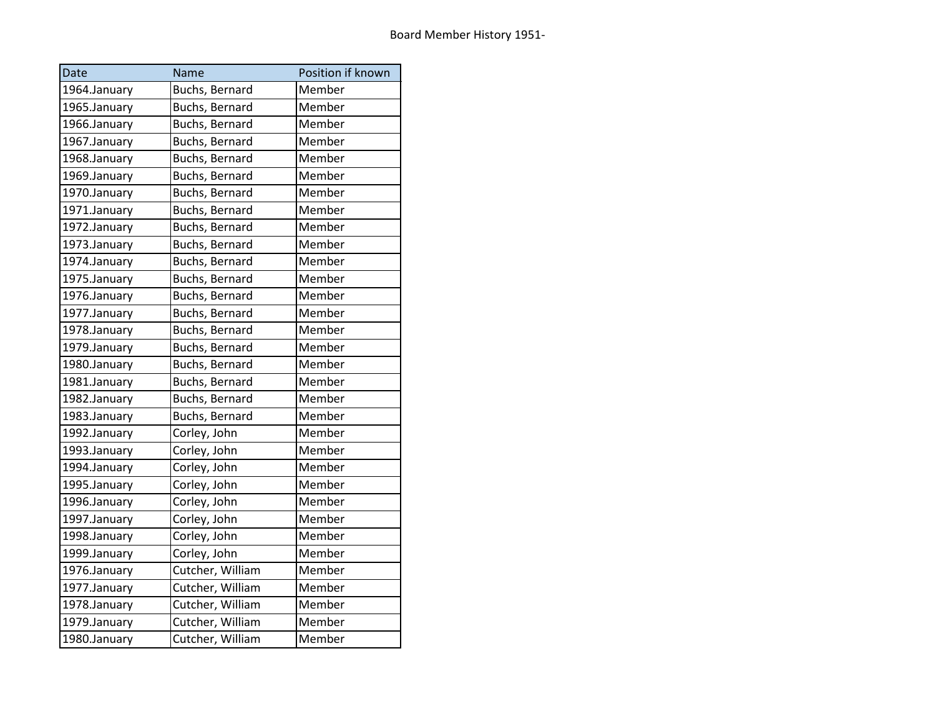| Date         | Name             | Position if known |
|--------------|------------------|-------------------|
| 1964.January | Buchs, Bernard   | Member            |
| 1965.January | Buchs, Bernard   | Member            |
| 1966.January | Buchs, Bernard   | Member            |
| 1967.January | Buchs, Bernard   | Member            |
| 1968.January | Buchs, Bernard   | Member            |
| 1969.January | Buchs, Bernard   | Member            |
| 1970.January | Buchs, Bernard   | Member            |
| 1971.January | Buchs, Bernard   | Member            |
| 1972.January | Buchs, Bernard   | Member            |
| 1973.January | Buchs, Bernard   | Member            |
| 1974.January | Buchs, Bernard   | Member            |
| 1975.January | Buchs, Bernard   | Member            |
| 1976.January | Buchs, Bernard   | Member            |
| 1977.January | Buchs, Bernard   | Member            |
| 1978.January | Buchs, Bernard   | Member            |
| 1979.January | Buchs, Bernard   | Member            |
| 1980.January | Buchs, Bernard   | Member            |
| 1981.January | Buchs, Bernard   | Member            |
| 1982.January | Buchs, Bernard   | Member            |
| 1983.January | Buchs, Bernard   | Member            |
| 1992.January | Corley, John     | Member            |
| 1993.January | Corley, John     | Member            |
| 1994.January | Corley, John     | Member            |
| 1995.January | Corley, John     | Member            |
| 1996.January | Corley, John     | Member            |
| 1997.January | Corley, John     | Member            |
| 1998.January | Corley, John     | Member            |
| 1999.January | Corley, John     | Member            |
| 1976.January | Cutcher, William | Member            |
| 1977.January | Cutcher, William | Member            |
| 1978.January | Cutcher, William | Member            |
| 1979.January | Cutcher, William | Member            |
| 1980.January | Cutcher, William | Member            |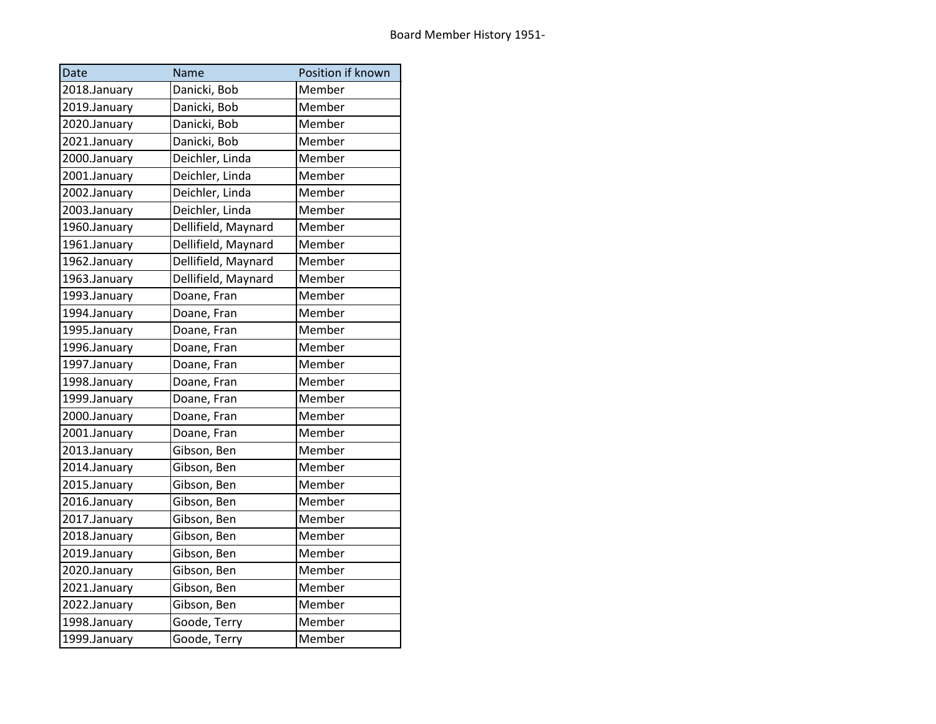| Date         | Name                | Position if known |
|--------------|---------------------|-------------------|
| 2018.January | Danicki, Bob        | Member            |
| 2019.January | Danicki, Bob        | Member            |
| 2020.January | Danicki, Bob        | Member            |
| 2021.January | Danicki, Bob        | Member            |
| 2000.January | Deichler, Linda     | Member            |
| 2001.January | Deichler, Linda     | Member            |
| 2002.January | Deichler, Linda     | Member            |
| 2003.January | Deichler, Linda     | Member            |
| 1960.January | Dellifield, Maynard | Member            |
| 1961.January | Dellifield, Maynard | Member            |
| 1962.January | Dellifield, Maynard | Member            |
| 1963.January | Dellifield, Maynard | Member            |
| 1993.January | Doane, Fran         | Member            |
| 1994.January | Doane, Fran         | Member            |
| 1995.January | Doane, Fran         | Member            |
| 1996.January | Doane, Fran         | Member            |
| 1997.January | Doane, Fran         | Member            |
| 1998.January | Doane, Fran         | Member            |
| 1999.January | Doane, Fran         | Member            |
| 2000.January | Doane, Fran         | Member            |
| 2001.January | Doane, Fran         | Member            |
| 2013.January | Gibson, Ben         | Member            |
| 2014.January | Gibson, Ben         | Member            |
| 2015.January | Gibson, Ben         | Member            |
| 2016.January | Gibson, Ben         | Member            |
| 2017.January | Gibson, Ben         | Member            |
| 2018.January | Gibson, Ben         | Member            |
| 2019.January | Gibson, Ben         | Member            |
| 2020.January | Gibson, Ben         | Member            |
| 2021.January | Gibson, Ben         | Member            |
| 2022.January | Gibson, Ben         | Member            |
| 1998.January | Goode, Terry        | Member            |
| 1999.January | Goode, Terry        | Member            |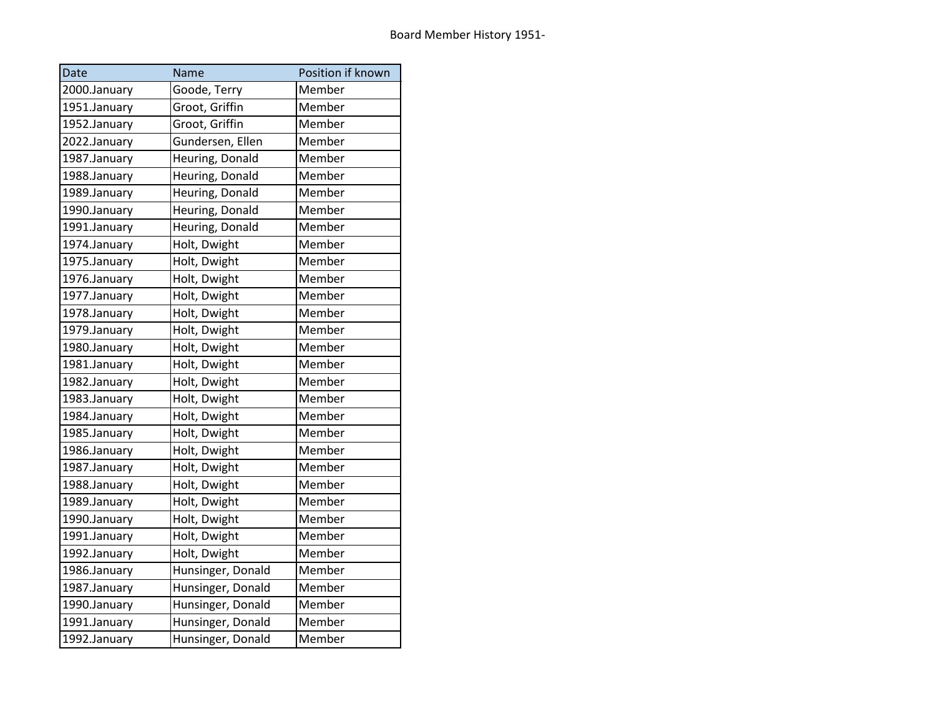| <b>Date</b>  | Name              | Position if known |
|--------------|-------------------|-------------------|
| 2000.January | Goode, Terry      | Member            |
| 1951.January | Groot, Griffin    | Member            |
| 1952.January | Groot, Griffin    | Member            |
| 2022.January | Gundersen, Ellen  | Member            |
| 1987.January | Heuring, Donald   | Member            |
| 1988.January | Heuring, Donald   | Member            |
| 1989.January | Heuring, Donald   | Member            |
| 1990.January | Heuring, Donald   | Member            |
| 1991.January | Heuring, Donald   | Member            |
| 1974.January | Holt, Dwight      | Member            |
| 1975.January | Holt, Dwight      | Member            |
| 1976.January | Holt, Dwight      | Member            |
| 1977.January | Holt, Dwight      | Member            |
| 1978.January | Holt, Dwight      | Member            |
| 1979.January | Holt, Dwight      | Member            |
| 1980.January | Holt, Dwight      | Member            |
| 1981.January | Holt, Dwight      | Member            |
| 1982.January | Holt, Dwight      | Member            |
| 1983.January | Holt, Dwight      | Member            |
| 1984.January | Holt, Dwight      | Member            |
| 1985.January | Holt, Dwight      | Member            |
| 1986.January | Holt, Dwight      | Member            |
| 1987.January | Holt, Dwight      | Member            |
| 1988.January | Holt, Dwight      | Member            |
| 1989.January | Holt, Dwight      | Member            |
| 1990.January | Holt, Dwight      | Member            |
| 1991.January | Holt, Dwight      | Member            |
| 1992.January | Holt, Dwight      | Member            |
| 1986.January | Hunsinger, Donald | Member            |
| 1987.January | Hunsinger, Donald | Member            |
| 1990.January | Hunsinger, Donald | Member            |
| 1991.January | Hunsinger, Donald | Member            |
| 1992.January | Hunsinger, Donald | Member            |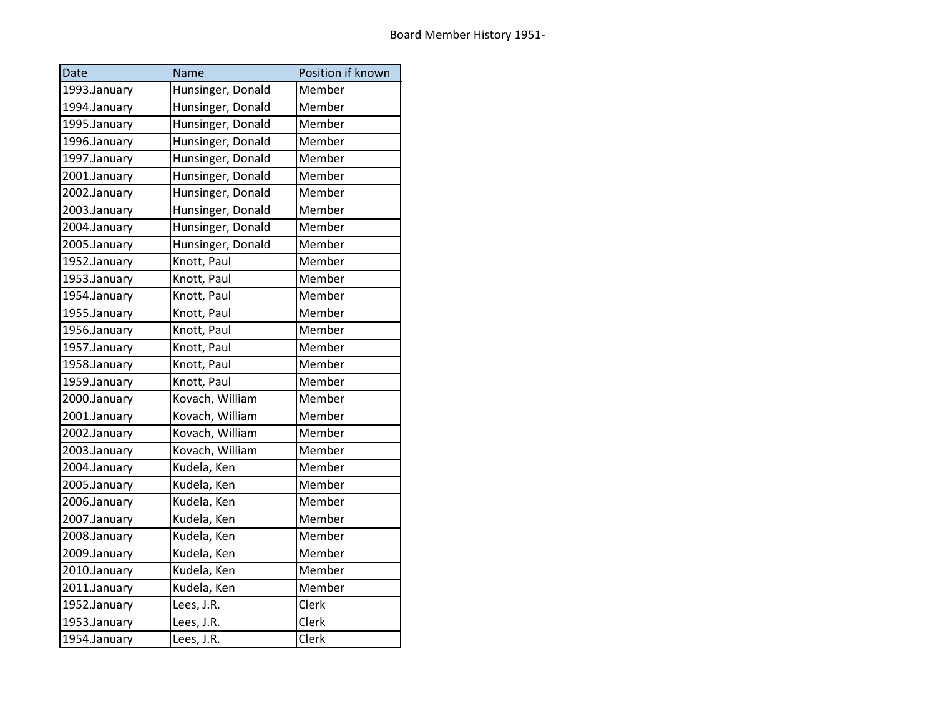| <b>Date</b>  | Name              | Position if known |
|--------------|-------------------|-------------------|
| 1993.January | Hunsinger, Donald | Member            |
| 1994.January | Hunsinger, Donald | Member            |
| 1995.January | Hunsinger, Donald | Member            |
| 1996.January | Hunsinger, Donald | Member            |
| 1997.January | Hunsinger, Donald | Member            |
| 2001.January | Hunsinger, Donald | Member            |
| 2002.January | Hunsinger, Donald | Member            |
| 2003.January | Hunsinger, Donald | Member            |
| 2004.January | Hunsinger, Donald | Member            |
| 2005.January | Hunsinger, Donald | Member            |
| 1952.January | Knott, Paul       | Member            |
| 1953.January | Knott, Paul       | Member            |
| 1954.January | Knott, Paul       | Member            |
| 1955.January | Knott, Paul       | Member            |
| 1956.January | Knott, Paul       | Member            |
| 1957.January | Knott, Paul       | Member            |
| 1958.January | Knott, Paul       | Member            |
| 1959.January | Knott, Paul       | Member            |
| 2000.January | Kovach, William   | Member            |
| 2001.January | Kovach, William   | Member            |
| 2002.January | Kovach, William   | Member            |
| 2003.January | Kovach, William   | Member            |
| 2004.January | Kudela, Ken       | Member            |
| 2005.January | Kudela, Ken       | Member            |
| 2006.January | Kudela, Ken       | Member            |
| 2007.January | Kudela, Ken       | Member            |
| 2008.January | Kudela, Ken       | Member            |
| 2009.January | Kudela, Ken       | Member            |
| 2010.January | Kudela, Ken       | Member            |
| 2011.January | Kudela, Ken       | Member            |
| 1952.January | Lees, J.R.        | Clerk             |
| 1953.January | Lees, J.R.        | Clerk             |
| 1954.January | Lees, J.R.        | Clerk             |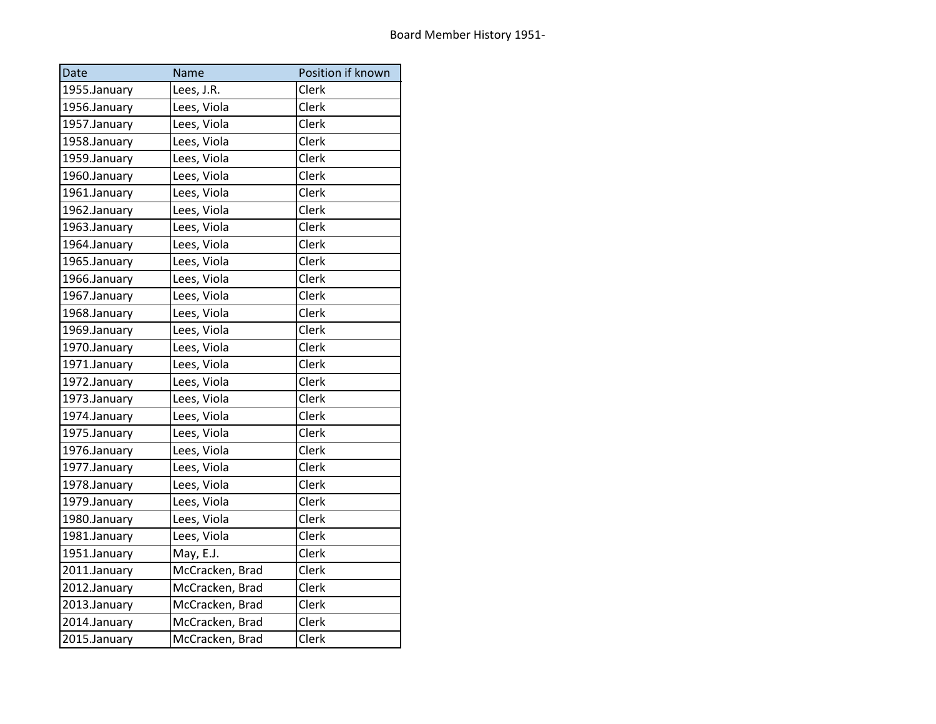| Date         | <b>Name</b>     | Position if known |
|--------------|-----------------|-------------------|
| 1955.January | Lees, J.R.      | Clerk             |
| 1956.January | Lees, Viola     | Clerk             |
| 1957.January | Lees, Viola     | Clerk             |
| 1958.January | Lees, Viola     | Clerk             |
| 1959.January | Lees, Viola     | Clerk             |
| 1960.January | Lees, Viola     | Clerk             |
| 1961.January | Lees, Viola     | Clerk             |
| 1962.January | Lees, Viola     | Clerk             |
| 1963.January | Lees, Viola     | Clerk             |
| 1964.January | Lees, Viola     | Clerk             |
| 1965.January | Lees, Viola     | Clerk             |
| 1966.January | Lees, Viola     | Clerk             |
| 1967.January | Lees, Viola     | Clerk             |
| 1968.January | Lees, Viola     | Clerk             |
| 1969.January | Lees, Viola     | Clerk             |
| 1970.January | Lees, Viola     | Clerk             |
| 1971.January | Lees, Viola     | Clerk             |
| 1972.January | Lees, Viola     | Clerk             |
| 1973.January | Lees, Viola     | Clerk             |
| 1974.January | Lees, Viola     | Clerk             |
| 1975.January | Lees, Viola     | Clerk             |
| 1976.January | Lees, Viola     | Clerk             |
| 1977.January | Lees, Viola     | Clerk             |
| 1978.January | Lees, Viola     | Clerk             |
| 1979.January | Lees, Viola     | Clerk             |
| 1980.January | Lees, Viola     | Clerk             |
| 1981.January | Lees, Viola     | Clerk             |
| 1951.January | May, E.J.       | Clerk             |
| 2011.January | McCracken, Brad | Clerk             |
| 2012.January | McCracken, Brad | Clerk             |
| 2013.January | McCracken, Brad | Clerk             |
| 2014.January | McCracken, Brad | Clerk             |
| 2015.January | McCracken, Brad | Clerk             |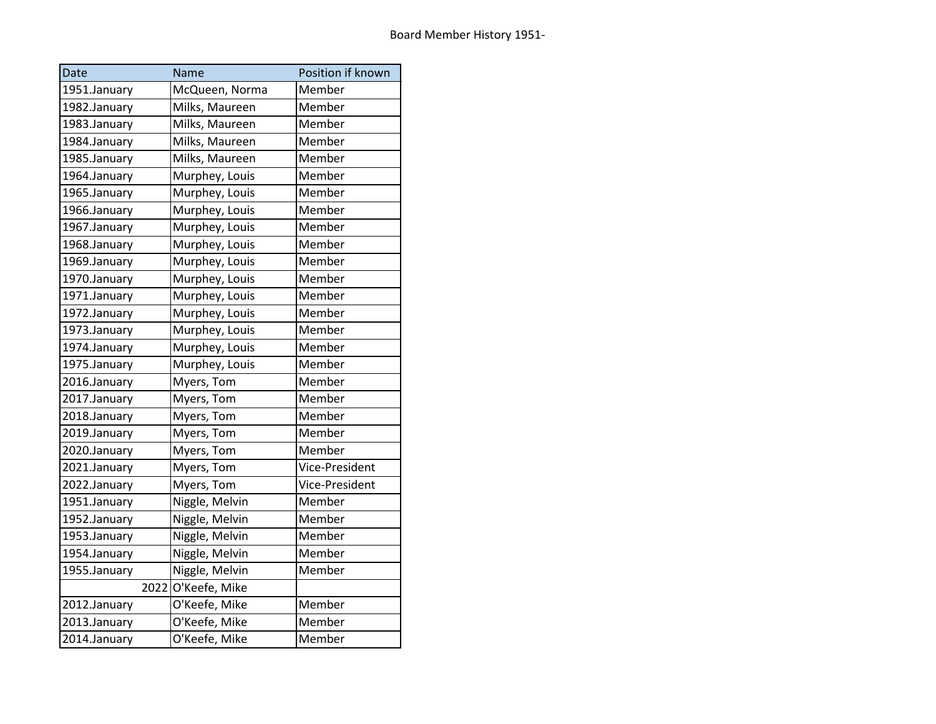| Date         |      | Name           | Position if known |
|--------------|------|----------------|-------------------|
| 1951.January |      | McQueen, Norma | Member            |
| 1982.January |      | Milks, Maureen | Member            |
| 1983.January |      | Milks, Maureen | Member            |
| 1984.January |      | Milks, Maureen | Member            |
| 1985.January |      | Milks, Maureen | Member            |
| 1964.January |      | Murphey, Louis | Member            |
| 1965.January |      | Murphey, Louis | Member            |
| 1966.January |      | Murphey, Louis | Member            |
| 1967.January |      | Murphey, Louis | Member            |
| 1968.January |      | Murphey, Louis | Member            |
| 1969.January |      | Murphey, Louis | Member            |
| 1970.January |      | Murphey, Louis | Member            |
| 1971.January |      | Murphey, Louis | Member            |
| 1972.January |      | Murphey, Louis | Member            |
| 1973.January |      | Murphey, Louis | Member            |
| 1974.January |      | Murphey, Louis | Member            |
| 1975.January |      | Murphey, Louis | Member            |
| 2016.January |      | Myers, Tom     | Member            |
| 2017.January |      | Myers, Tom     | Member            |
| 2018.January |      | Myers, Tom     | Member            |
| 2019.January |      | Myers, Tom     | Member            |
| 2020.January |      | Myers, Tom     | Member            |
| 2021.January |      | Myers, Tom     | Vice-President    |
| 2022.January |      | Myers, Tom     | Vice-President    |
| 1951.January |      | Niggle, Melvin | Member            |
| 1952.January |      | Niggle, Melvin | Member            |
| 1953.January |      | Niggle, Melvin | Member            |
| 1954.January |      | Niggle, Melvin | Member            |
| 1955.January |      | Niggle, Melvin | Member            |
|              | 2022 | O'Keefe, Mike  |                   |
| 2012.January |      | O'Keefe, Mike  | Member            |
| 2013.January |      | O'Keefe, Mike  | Member            |
| 2014.January |      | O'Keefe, Mike  | Member            |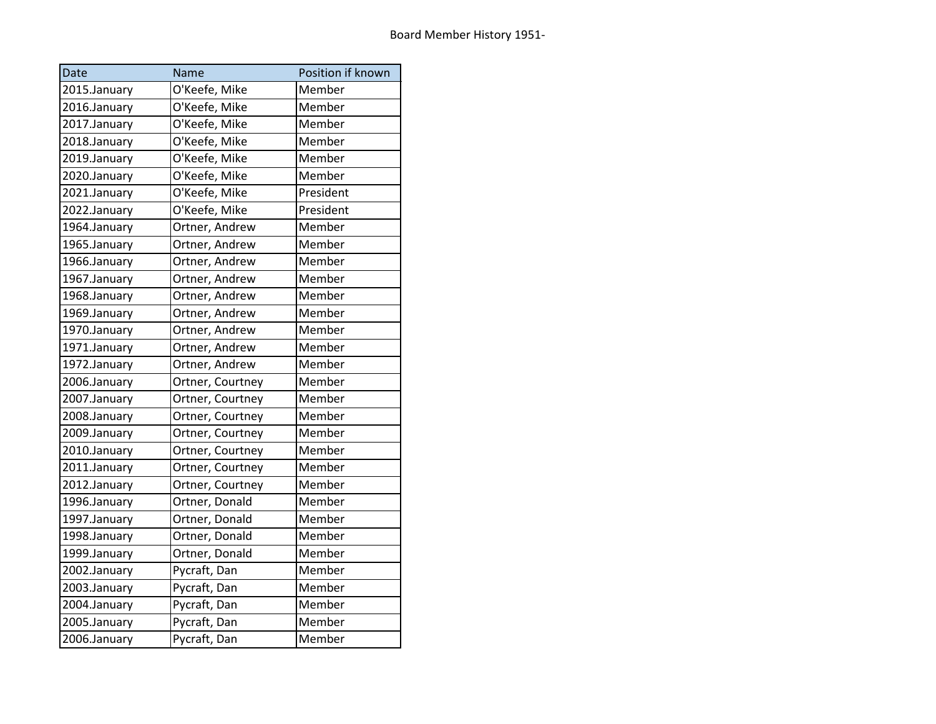| Date         | Name             | Position if known |
|--------------|------------------|-------------------|
| 2015.January | O'Keefe, Mike    | Member            |
| 2016.January | O'Keefe, Mike    | Member            |
| 2017.January | O'Keefe, Mike    | Member            |
| 2018.January | O'Keefe, Mike    | Member            |
| 2019.January | O'Keefe, Mike    | Member            |
| 2020.January | O'Keefe, Mike    | Member            |
| 2021.January | O'Keefe, Mike    | President         |
| 2022.January | O'Keefe, Mike    | President         |
| 1964.January | Ortner, Andrew   | Member            |
| 1965.January | Ortner, Andrew   | Member            |
| 1966.January | Ortner, Andrew   | Member            |
| 1967.January | Ortner, Andrew   | Member            |
| 1968.January | Ortner, Andrew   | Member            |
| 1969.January | Ortner, Andrew   | Member            |
| 1970.January | Ortner, Andrew   | Member            |
| 1971.January | Ortner, Andrew   | Member            |
| 1972.January | Ortner, Andrew   | Member            |
| 2006.January | Ortner, Courtney | Member            |
| 2007.January | Ortner, Courtney | Member            |
| 2008.January | Ortner, Courtney | Member            |
| 2009.January | Ortner, Courtney | Member            |
| 2010.January | Ortner, Courtney | Member            |
| 2011.January | Ortner, Courtney | Member            |
| 2012.January | Ortner, Courtney | Member            |
| 1996.January | Ortner, Donald   | Member            |
| 1997.January | Ortner, Donald   | Member            |
| 1998.January | Ortner, Donald   | Member            |
| 1999.January | Ortner, Donald   | Member            |
| 2002.January | Pycraft, Dan     | Member            |
| 2003.January | Pycraft, Dan     | Member            |
| 2004.January | Pycraft, Dan     | Member            |
| 2005.January | Pycraft, Dan     | Member            |
| 2006.January | Pycraft, Dan     | Member            |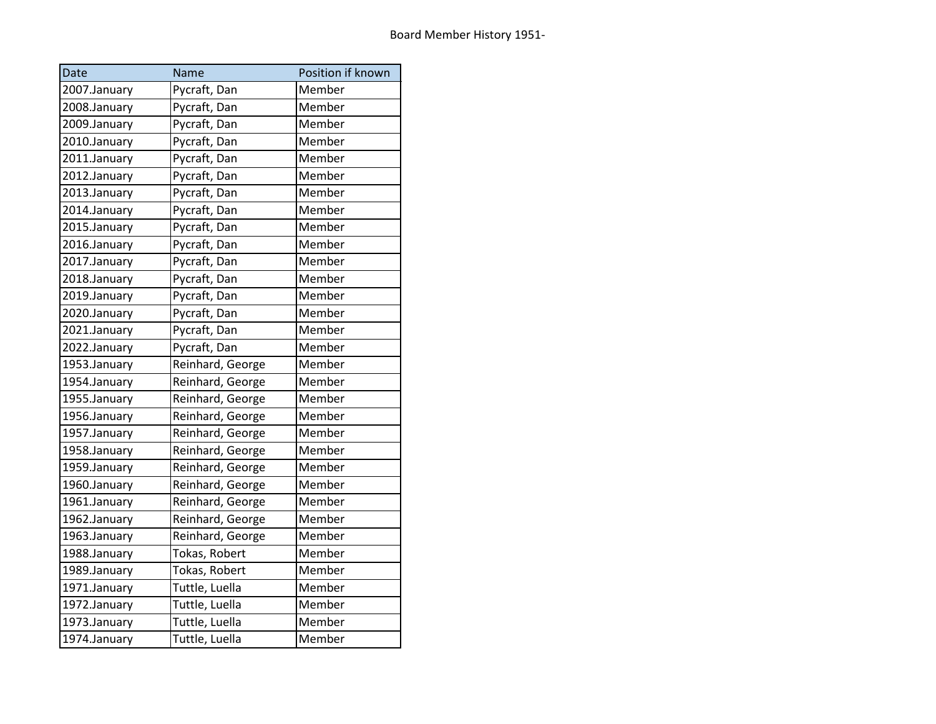| Date         | Name             | Position if known |
|--------------|------------------|-------------------|
| 2007.January | Pycraft, Dan     | Member            |
| 2008.January | Pycraft, Dan     | Member            |
| 2009.January | Pycraft, Dan     | Member            |
| 2010.January | Pycraft, Dan     | Member            |
| 2011.January | Pycraft, Dan     | Member            |
| 2012.January | Pycraft, Dan     | Member            |
| 2013.January | Pycraft, Dan     | Member            |
| 2014.January | Pycraft, Dan     | Member            |
| 2015.January | Pycraft, Dan     | Member            |
| 2016.January | Pycraft, Dan     | Member            |
| 2017.January | Pycraft, Dan     | Member            |
| 2018.January | Pycraft, Dan     | Member            |
| 2019.January | Pycraft, Dan     | Member            |
| 2020.January | Pycraft, Dan     | Member            |
| 2021.January | Pycraft, Dan     | Member            |
| 2022.January | Pycraft, Dan     | Member            |
| 1953.January | Reinhard, George | Member            |
| 1954.January | Reinhard, George | Member            |
| 1955.January | Reinhard, George | Member            |
| 1956.January | Reinhard, George | Member            |
| 1957.January | Reinhard, George | Member            |
| 1958.January | Reinhard, George | Member            |
| 1959.January | Reinhard, George | Member            |
| 1960.January | Reinhard, George | Member            |
| 1961.January | Reinhard, George | Member            |
| 1962.January | Reinhard, George | Member            |
| 1963.January | Reinhard, George | Member            |
| 1988.January | Tokas, Robert    | Member            |
| 1989.January | Tokas, Robert    | Member            |
| 1971.January | Tuttle, Luella   | Member            |
| 1972.January | Tuttle, Luella   | Member            |
| 1973.January | Tuttle, Luella   | Member            |
| 1974.January | Tuttle, Luella   | Member            |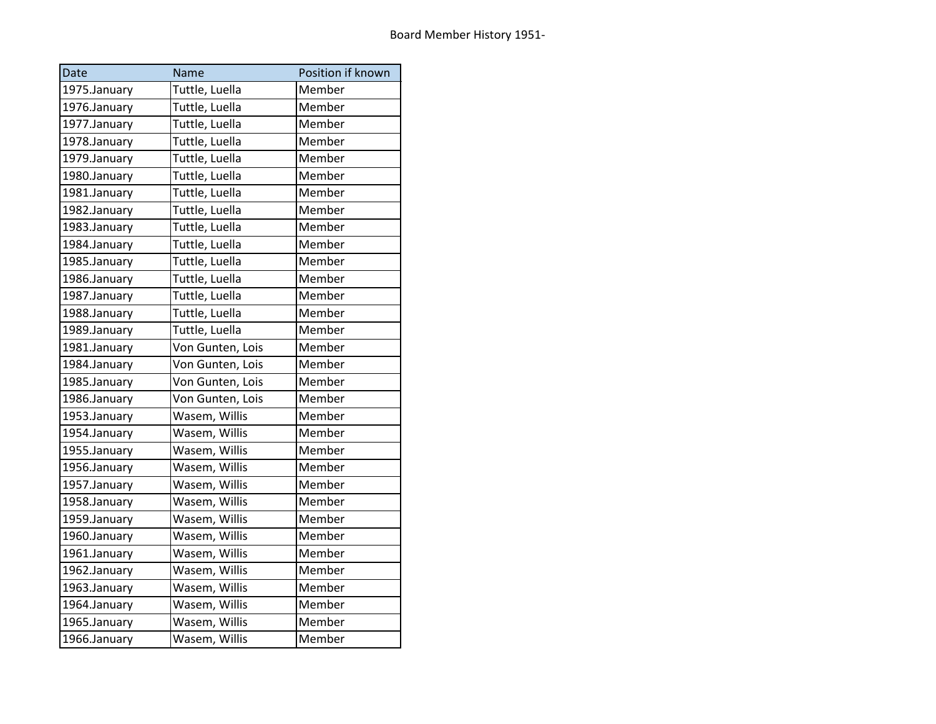| Date         | Name             | Position if known |
|--------------|------------------|-------------------|
| 1975.January | Tuttle, Luella   | Member            |
| 1976.January | Tuttle, Luella   | Member            |
| 1977.January | Tuttle, Luella   | Member            |
| 1978.January | Tuttle, Luella   | Member            |
| 1979.January | Tuttle, Luella   | Member            |
| 1980.January | Tuttle, Luella   | Member            |
| 1981.January | Tuttle, Luella   | Member            |
| 1982.January | Tuttle, Luella   | Member            |
| 1983.January | Tuttle, Luella   | Member            |
| 1984.January | Tuttle, Luella   | Member            |
| 1985.January | Tuttle, Luella   | Member            |
| 1986.January | Tuttle, Luella   | Member            |
| 1987.January | Tuttle, Luella   | Member            |
| 1988.January | Tuttle, Luella   | Member            |
| 1989.January | Tuttle, Luella   | Member            |
| 1981.January | Von Gunten, Lois | Member            |
| 1984.January | Von Gunten, Lois | Member            |
| 1985.January | Von Gunten, Lois | Member            |
| 1986.January | Von Gunten, Lois | Member            |
| 1953.January | Wasem, Willis    | Member            |
| 1954.January | Wasem, Willis    | Member            |
| 1955.January | Wasem, Willis    | Member            |
| 1956.January | Wasem, Willis    | Member            |
| 1957.January | Wasem, Willis    | Member            |
| 1958.January | Wasem, Willis    | Member            |
| 1959.January | Wasem, Willis    | Member            |
| 1960.January | Wasem, Willis    | Member            |
| 1961.January | Wasem, Willis    | Member            |
| 1962.January | Wasem, Willis    | Member            |
| 1963.January | Wasem, Willis    | Member            |
| 1964.January | Wasem, Willis    | Member            |
| 1965.January | Wasem, Willis    | Member            |
| 1966.January | Wasem, Willis    | Member            |